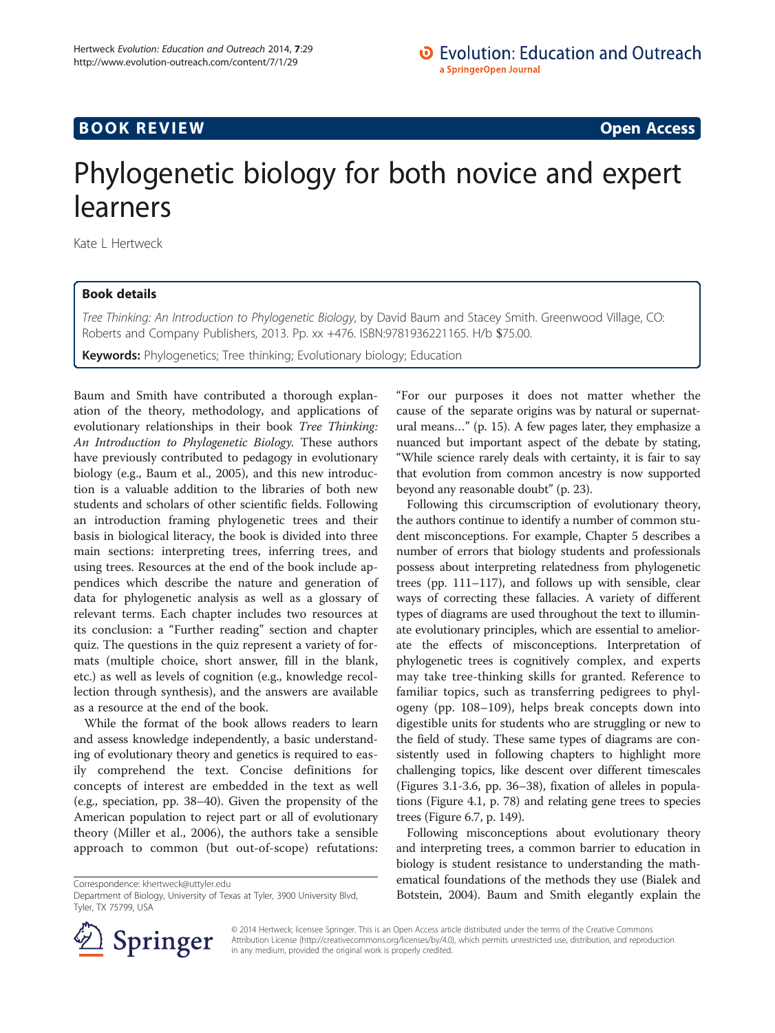## **BOOK REVIEW CONTROL** BOOK REVIEW

# Phylogenetic biology for both novice and expert learners

Kate L Hertweck

### Book details

Tree Thinking: An Introduction to Phylogenetic Biology, by David Baum and Stacey Smith. Greenwood Village, CO: Roberts and Company Publishers, 2013. Pp. xx +476. ISBN:9781936221165. H/b \$75.00.

Keywords: Phylogenetics; Tree thinking; Evolutionary biology; Education

Baum and Smith have contributed a thorough explanation of the theory, methodology, and applications of evolutionary relationships in their book Tree Thinking: An Introduction to Phylogenetic Biology. These authors have previously contributed to pedagogy in evolutionary biology (e.g., Baum et al., [2005\)](#page-1-0), and this new introduction is a valuable addition to the libraries of both new students and scholars of other scientific fields. Following an introduction framing phylogenetic trees and their basis in biological literacy, the book is divided into three main sections: interpreting trees, inferring trees, and using trees. Resources at the end of the book include appendices which describe the nature and generation of data for phylogenetic analysis as well as a glossary of relevant terms. Each chapter includes two resources at its conclusion: a "Further reading" section and chapter quiz. The questions in the quiz represent a variety of formats (multiple choice, short answer, fill in the blank, etc.) as well as levels of cognition (e.g., knowledge recollection through synthesis), and the answers are available as a resource at the end of the book.

While the format of the book allows readers to learn and assess knowledge independently, a basic understanding of evolutionary theory and genetics is required to easily comprehend the text. Concise definitions for concepts of interest are embedded in the text as well (e.g., speciation, pp. 38–40). Given the propensity of the American population to reject part or all of evolutionary theory (Miller et al., [2006\)](#page-1-0), the authors take a sensible approach to common (but out-of-scope) refutations:

Correspondence: [khertweck@uttyler.edu](mailto:khertweck@uttyler.edu)

"For our purposes it does not matter whether the cause of the separate origins was by natural or supernatural means…" (p. 15). A few pages later, they emphasize a nuanced but important aspect of the debate by stating, "While science rarely deals with certainty, it is fair to say that evolution from common ancestry is now supported beyond any reasonable doubt" (p. 23).

Following this circumscription of evolutionary theory, the authors continue to identify a number of common student misconceptions. For example, Chapter 5 describes a number of errors that biology students and professionals possess about interpreting relatedness from phylogenetic trees (pp. 111–117), and follows up with sensible, clear ways of correcting these fallacies. A variety of different types of diagrams are used throughout the text to illuminate evolutionary principles, which are essential to ameliorate the effects of misconceptions. Interpretation of phylogenetic trees is cognitively complex, and experts may take tree-thinking skills for granted. Reference to familiar topics, such as transferring pedigrees to phylogeny (pp. 108–109), helps break concepts down into digestible units for students who are struggling or new to the field of study. These same types of diagrams are consistently used in following chapters to highlight more challenging topics, like descent over different timescales (Figures 3.1-3.6, pp. 36–38), fixation of alleles in populations (Figure 4.1, p. 78) and relating gene trees to species trees (Figure 6.7, p. 149).

Following misconceptions about evolutionary theory and interpreting trees, a common barrier to education in biology is student resistance to understanding the mathematical foundations of the methods they use (Bialek and Botstein, [2004](#page-1-0)). Baum and Smith elegantly explain the



© 2014 Hertweck; licensee Springer. This is an Open Access article distributed under the terms of the Creative Commons Attribution License [\(http://creativecommons.org/licenses/by/4.0\)](http://creativecommons.org/licenses/by/4.0), which permits unrestricted use, distribution, and reproduction in any medium, provided the original work is properly credited.

Department of Biology, University of Texas at Tyler, 3900 University Blvd, Tyler, TX 75799, USA